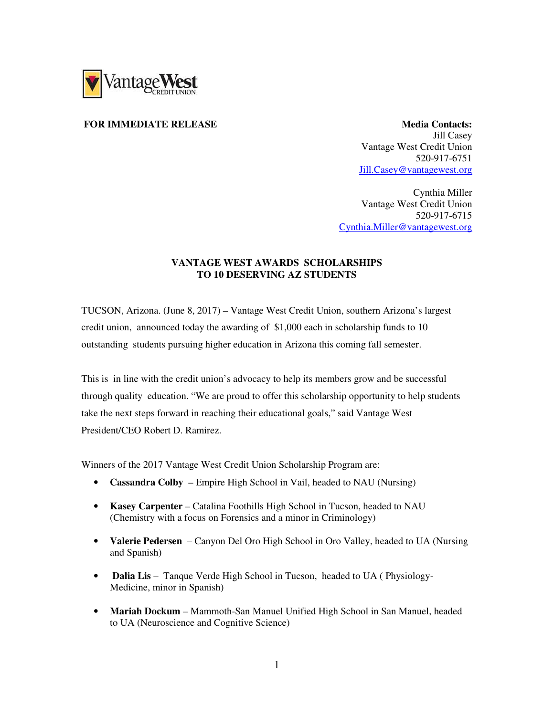

## **FOR IMMEDIATE RELEASE Media Contacts: Media Contacts:**

Jill Casey Vantage West Credit Union 520-917-6751 Jill.Casey@vantagewest.org

Cynthia Miller Vantage West Credit Union 520-917-6715 Cynthia.Miller@vantagewest.org

## **VANTAGE WEST AWARDS SCHOLARSHIPS TO 10 DESERVING AZ STUDENTS**

TUCSON, Arizona. (June 8, 2017) – Vantage West Credit Union, southern Arizona's largest credit union, announced today the awarding of \$1,000 each in scholarship funds to 10 outstanding students pursuing higher education in Arizona this coming fall semester.

This is in line with the credit union's advocacy to help its members grow and be successful through quality education. "We are proud to offer this scholarship opportunity to help students take the next steps forward in reaching their educational goals," said Vantage West President/CEO Robert D. Ramirez.

Winners of the 2017 Vantage West Credit Union Scholarship Program are:

- **Cassandra Colby** Empire High School in Vail, headed to NAU (Nursing)
- **Kasey Carpenter** Catalina Foothills High School in Tucson, headed to NAU (Chemistry with a focus on Forensics and a minor in Criminology)
- **Valerie Pedersen** Canyon Del Oro High School in Oro Valley, headed to UA (Nursing and Spanish)
- **Dalia Lis** Tanque Verde High School in Tucson, headed to UA (Physiology-Medicine, minor in Spanish)
- **Mariah Dockum** Mammoth-San Manuel Unified High School in San Manuel, headed to UA (Neuroscience and Cognitive Science)